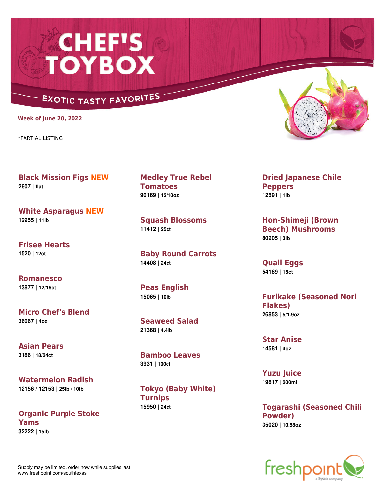## **CHEF'S<br>TOYBOX**

## **EXOTIC TASTY FAVORITES**

**Week of June 20, 2022**

\*PARTIAL LISTING

**Black Mission Figs NEW 2807 | flat**

**White Asparagus NEW 12955 | 11lb**

**Frisee Hearts 1520 | 12ct**

**Romanesco 13877 | 12/16ct**

**Micro Chef's Blend 36067 | 4oz**

**Asian Pears 3186 | 18/24ct**

**Watermelon Radish 12156 / 12153 | 25lb / 10lb**

**Organic Purple Stoke Yams 32222 | 15lb**

**Medley True Rebel Tomatoes 90169 | 12/10oz**

**Squash Blossoms 11412 | 25ct**

**Baby Round Carrots 14408 | 24ct**

**Peas English 15065 | 10lb**

**Seaweed Salad 21368 | 4.4lb**

**Bamboo Leaves 3931 | 100ct**

**Tokyo (Baby White) Turnips 15950 | 24ct**



**Dried Japanese Chile Peppers 12591 | 1lb**

**Hon-Shimeji (Brown Beech) Mushrooms 80205 | 3lb**

**Quail Eggs 54169 | 15ct**

**Furikake (Seasoned Nori Flakes) 26853 | 5/1.9oz**

**Star Anise 14581 | 4oz**

**Yuzu Juice 19817 | 200ml**

**Togarashi (Seasoned Chili Powder) 35020 | 10.58oz**